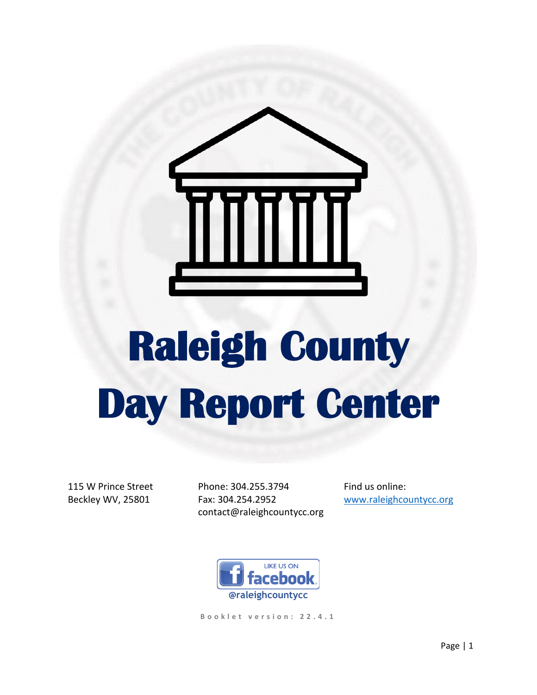

# **Raleigh County Day Report Center**

115 W Prince Street Beckley WV, 25801

Phone: 304.255.3794 Fax: 304.254.2952 contact@raleighcountycc.org Find us online: [www.raleighcountycc.org](http://www.raleighcountycc.org/)



**B o o k l e t v e r s i o n : 2 2 . 4 . 1**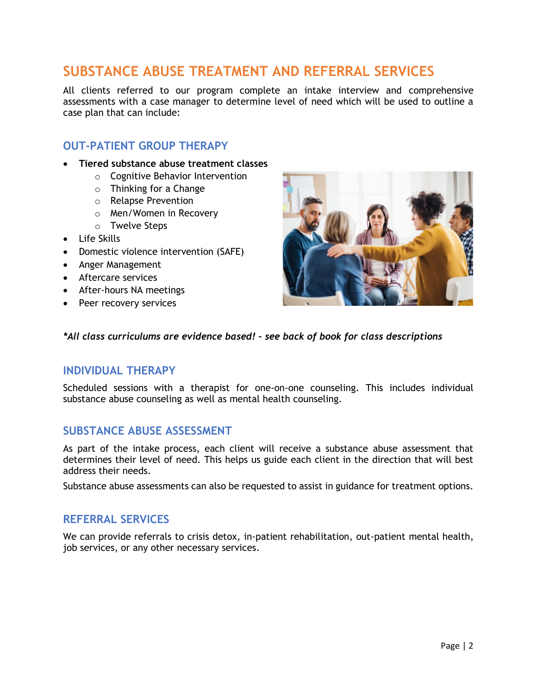# **SUBSTANCE ABUSE TREATMENT AND REFERRAL SERVICES**

All clients referred to our program complete an intake interview and comprehensive assessments with a case manager to determine level of need which will be used to outline a case plan that can include:

# **OUT-PATIENT GROUP THERAPY**

- **Tiered substance abuse treatment classes**
	- o Cognitive Behavior Intervention
	- $\circ$  Thinking for a Change
	- o Relapse Prevention
	- o Men/Women in Recovery
	- o Twelve Steps
- Life Skills
- Domestic violence intervention (SAFE)
- Anger Management
- Aftercare services
- After-hours NA meetings
- Peer recovery services



#### *\*All class curriculums are evidence based! – see back of book for class descriptions*

#### **INDIVIDUAL THERAPY**

Scheduled sessions with a therapist for one-on-one counseling. This includes individual substance abuse counseling as well as mental health counseling.

# **SUBSTANCE ABUSE ASSESSMENT**

As part of the intake process, each client will receive a substance abuse assessment that determines their level of need. This helps us guide each client in the direction that will best address their needs.

Substance abuse assessments can also be requested to assist in guidance for treatment options.

#### **REFERRAL SERVICES**

We can provide referrals to crisis detox, in-patient rehabilitation, out-patient mental health, job services, or any other necessary services.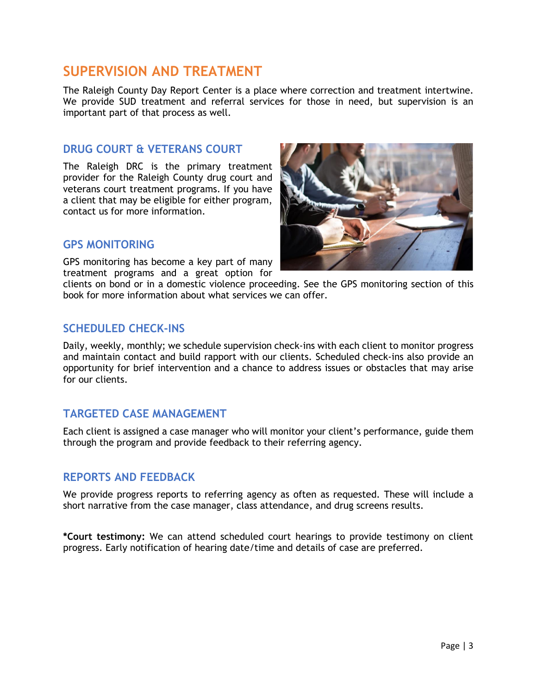# **SUPERVISION AND TREATMENT**

The Raleigh County Day Report Center is a place where correction and treatment intertwine. We provide SUD treatment and referral services for those in need, but supervision is an important part of that process as well.

## **DRUG COURT & VETERANS COURT**

The Raleigh DRC is the primary treatment provider for the Raleigh County drug court and veterans court treatment programs. If you have a client that may be eligible for either program, contact us for more information.



## **GPS MONITORING**

GPS monitoring has become a key part of many treatment programs and a great option for

clients on bond or in a domestic violence proceeding. See the GPS monitoring section of this book for more information about what services we can offer.

## **SCHEDULED CHECK-INS**

Daily, weekly, monthly; we schedule supervision check-ins with each client to monitor progress and maintain contact and build rapport with our clients. Scheduled check-ins also provide an opportunity for brief intervention and a chance to address issues or obstacles that may arise for our clients.

# **TARGETED CASE MANAGEMENT**

Each client is assigned a case manager who will monitor your client's performance, guide them through the program and provide feedback to their referring agency.

## **REPORTS AND FEEDBACK**

We provide progress reports to referring agency as often as requested. These will include a short narrative from the case manager, class attendance, and drug screens results.

**\*Court testimony:** We can attend scheduled court hearings to provide testimony on client progress. Early notification of hearing date/time and details of case are preferred.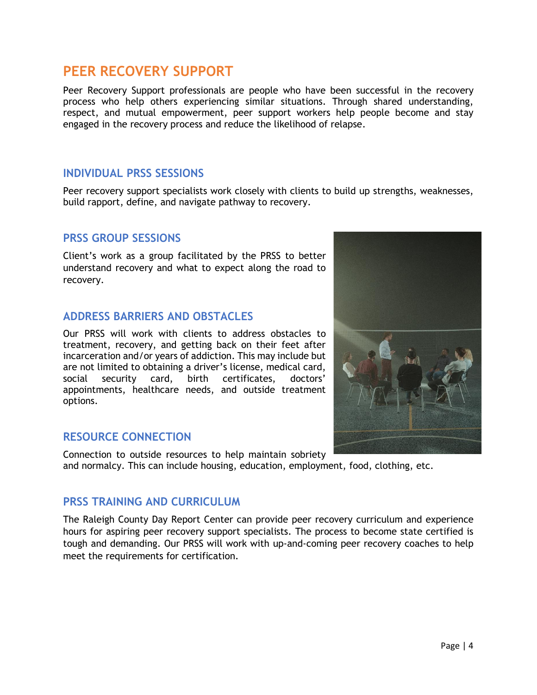# **PEER RECOVERY SUPPORT**

Peer Recovery Support professionals are people who have been successful in the recovery process who help others experiencing similar situations. Through shared understanding, respect, and mutual empowerment, peer support workers help people become and stay engaged in the recovery process and reduce the likelihood of relapse.

## **INDIVIDUAL PRSS SESSIONS**

Peer recovery support specialists work closely with clients to build up strengths, weaknesses, build rapport, define, and navigate pathway to recovery.

# **PRSS GROUP SESSIONS**

Client's work as a group facilitated by the PRSS to better understand recovery and what to expect along the road to recovery.

# **ADDRESS BARRIERS AND OBSTACLES**

Our PRSS will work with clients to address obstacles to treatment, recovery, and getting back on their feet after incarceration and/or years of addiction. This may include but are not limited to obtaining a driver's license, medical card, social security card, birth certificates, doctors' appointments, healthcare needs, and outside treatment options.

## **RESOURCE CONNECTION**

Connection to outside resources to help maintain sobriety and normalcy. This can include housing, education, employment, food, clothing, etc.

## **PRSS TRAINING AND CURRICULUM**

The Raleigh County Day Report Center can provide peer recovery curriculum and experience hours for aspiring peer recovery support specialists. The process to become state certified is tough and demanding. Our PRSS will work with up-and-coming peer recovery coaches to help meet the requirements for certification.

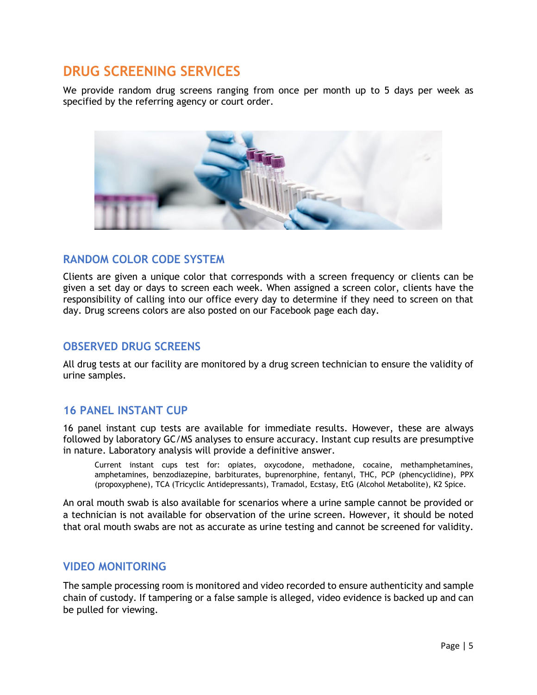# **DRUG SCREENING SERVICES**

We provide random drug screens ranging from once per month up to 5 days per week as specified by the referring agency or court order.



# **RANDOM COLOR CODE SYSTEM**

Clients are given a unique color that corresponds with a screen frequency or clients can be given a set day or days to screen each week. When assigned a screen color, clients have the responsibility of calling into our office every day to determine if they need to screen on that day. Drug screens colors are also posted on our Facebook page each day.

# **OBSERVED DRUG SCREENS**

All drug tests at our facility are monitored by a drug screen technician to ensure the validity of urine samples.

# **16 PANEL INSTANT CUP**

16 panel instant cup tests are available for immediate results. However, these are always followed by laboratory GC/MS analyses to ensure accuracy. Instant cup results are presumptive in nature. Laboratory analysis will provide a definitive answer.

Current instant cups test for: opiates, oxycodone, methadone, cocaine, methamphetamines, amphetamines, benzodiazepine, barbiturates, buprenorphine, fentanyl, THC, PCP (phencyclidine), PPX (propoxyphene), TCA (Tricyclic Antidepressants), Tramadol, Ecstasy, EtG (Alcohol Metabolite), K2 Spice.

An oral mouth swab is also available for scenarios where a urine sample cannot be provided or a technician is not available for observation of the urine screen. However, it should be noted that oral mouth swabs are not as accurate as urine testing and cannot be screened for validity.

## **VIDEO MONITORING**

The sample processing room is monitored and video recorded to ensure authenticity and sample chain of custody. If tampering or a false sample is alleged, video evidence is backed up and can be pulled for viewing.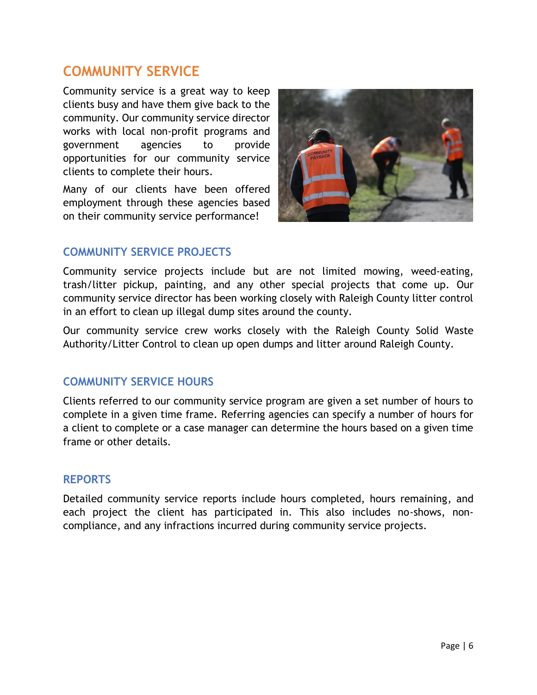# **COMMUNITY SERVICE**

Community service is a great way to keep clients busy and have them give back to the community. Our community service director works with local non-profit programs and government agencies to provide opportunities for our community service clients to complete their hours.

Many of our clients have been offered employment through these agencies based on their community service performance!



# **COMMUNITY SERVICE PROJECTS**

Community service projects include but are not limited mowing, weed-eating, trash/litter pickup, painting, and any other special projects that come up. Our community service director has been working closely with Raleigh County litter control in an effort to clean up illegal dump sites around the county.

Our community service crew works closely with the Raleigh County Solid Waste Authority/Litter Control to clean up open dumps and litter around Raleigh County.

# **COMMUNITY SERVICE HOURS**

Clients referred to our community service program are given a set number of hours to complete in a given time frame. Referring agencies can specify a number of hours for a client to complete or a case manager can determine the hours based on a given time frame or other details.

# **REPORTS**

Detailed community service reports include hours completed, hours remaining, and each project the client has participated in. This also includes no-shows, noncompliance, and any infractions incurred during community service projects.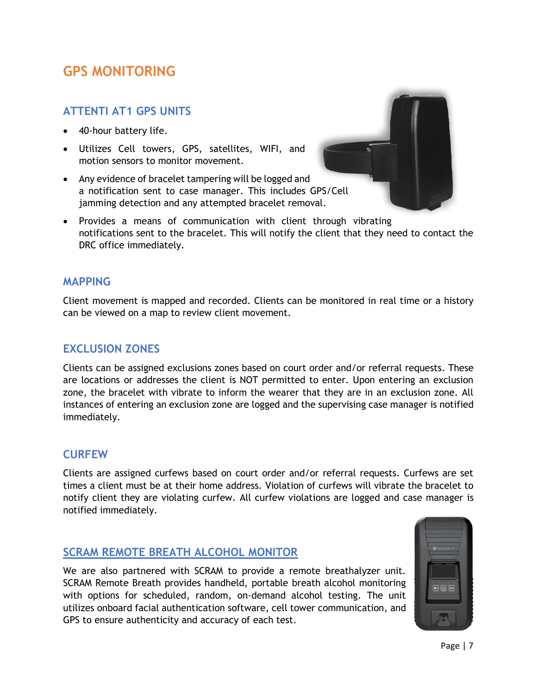# **GPS MONITORING**

# **ATTENTI AT1 GPS UNITS**

- 40-hour battery life.
- Utilizes Cell towers, GPS, satellites, WIFI, and motion sensors to monitor movement.
- Any evidence of bracelet tampering will be logged and a notification sent to case manager. This includes GPS/Cell jamming detection and any attempted bracelet removal.



• Provides a means of communication with client through vibrating notifications sent to the bracelet. This will notify the client that they need to contact the DRC office immediately.

#### **MAPPING**

Client movement is mapped and recorded. Clients can be monitored in real time or a history can be viewed on a map to review client movement.

## **EXCLUSION ZONES**

Clients can be assigned exclusions zones based on court order and/or referral requests. These are locations or addresses the client is NOT permitted to enter. Upon entering an exclusion zone, the bracelet with vibrate to inform the wearer that they are in an exclusion zone. All instances of entering an exclusion zone are logged and the supervising case manager is notified immediately.

## **CURFEW**

Clients are assigned curfews based on court order and/or referral requests. Curfews are set times a client must be at their home address. Violation of curfews will vibrate the bracelet to notify client they are violating curfew. All curfew violations are logged and case manager is notified immediately.

## **SCRAM REMOTE BREATH ALCOHOL MONITOR**

We are also partnered with SCRAM to provide a remote breathalyzer unit. SCRAM Remote Breath provides handheld, portable breath alcohol monitoring with options for scheduled, random, on-demand alcohol testing. The unit utilizes onboard facial authentication software, cell tower communication, and GPS to ensure authenticity and accuracy of each test.

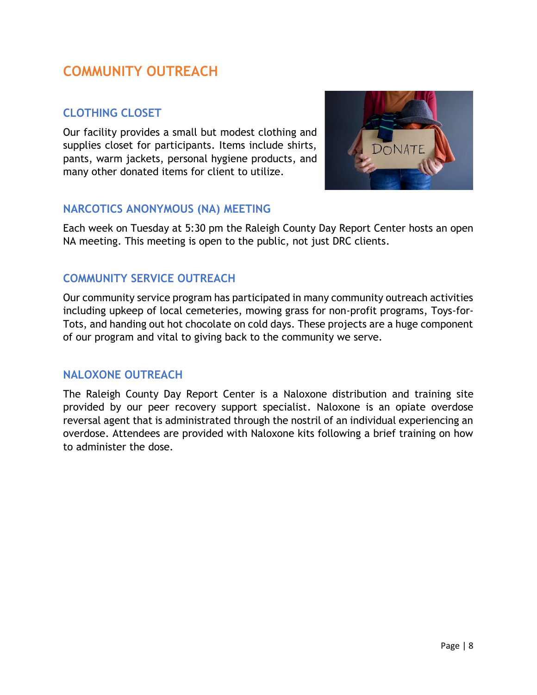# **COMMUNITY OUTREACH**

# **CLOTHING CLOSET**

Our facility provides a small but modest clothing and supplies closet for participants. Items include shirts, pants, warm jackets, personal hygiene products, and many other donated items for client to utilize.



# **NARCOTICS ANONYMOUS (NA) MEETING**

Each week on Tuesday at 5:30 pm the Raleigh County Day Report Center hosts an open NA meeting. This meeting is open to the public, not just DRC clients.

# **COMMUNITY SERVICE OUTREACH**

Our community service program has participated in many community outreach activities including upkeep of local cemeteries, mowing grass for non-profit programs, Toys-for-Tots, and handing out hot chocolate on cold days. These projects are a huge component of our program and vital to giving back to the community we serve.

# **NALOXONE OUTREACH**

The Raleigh County Day Report Center is a Naloxone distribution and training site provided by our peer recovery support specialist. Naloxone is an opiate overdose reversal agent that is administrated through the nostril of an individual experiencing an overdose. Attendees are provided with Naloxone kits following a brief training on how to administer the dose.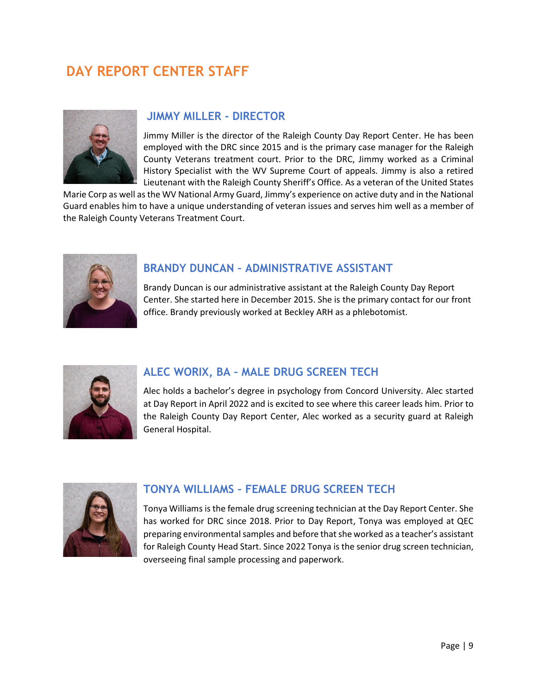# **DAY REPORT CENTER STAFF**



# **JIMMY MILLER - DIRECTOR**

Jimmy Miller is the director of the Raleigh County Day Report Center. He has been employed with the DRC since 2015 and is the primary case manager for the Raleigh County Veterans treatment court. Prior to the DRC, Jimmy worked as a Criminal History Specialist with the WV Supreme Court of appeals. Jimmy is also a retired Lieutenant with the Raleigh County Sheriff's Office. As a veteran of the United States

Marie Corp as well as the WV National Army Guard, Jimmy's experience on active duty and in the National Guard enables him to have a unique understanding of veteran issues and serves him well as a member of the Raleigh County Veterans Treatment Court.



# **BRANDY DUNCAN – ADMINISTRATIVE ASSISTANT**

Brandy Duncan is our administrative assistant at the Raleigh County Day Report Center. She started here in December 2015. She is the primary contact for our front office. Brandy previously worked at Beckley ARH as a phlebotomist.



# **ALEC WORIX, BA – MALE DRUG SCREEN TECH**

Alec holds a bachelor's degree in psychology from Concord University. Alec started at Day Report in April 2022 and is excited to see where this career leads him. Prior to the Raleigh County Day Report Center, Alec worked as a security guard at Raleigh General Hospital.



# **TONYA WILLIAMS – FEMALE DRUG SCREEN TECH**

Tonya Williams is the female drug screening technician at the Day Report Center. She has worked for DRC since 2018. Prior to Day Report, Tonya was employed at QEC preparing environmental samples and before that she worked as a teacher's assistant for Raleigh County Head Start. Since 2022 Tonya is the senior drug screen technician, overseeing final sample processing and paperwork.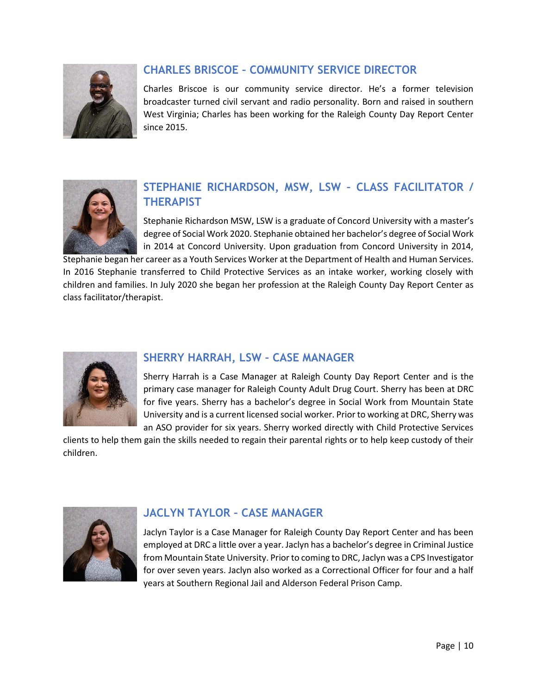

# **CHARLES BRISCOE – COMMUNITY SERVICE DIRECTOR**

Charles Briscoe is our community service director. He's a former television broadcaster turned civil servant and radio personality. Born and raised in southern West Virginia; Charles has been working for the Raleigh County Day Report Center since 2015.



# **STEPHANIE RICHARDSON, MSW, LSW – CLASS FACILITATOR / THERAPIST**

Stephanie Richardson MSW, LSW is a graduate of Concord University with a master's degree of Social Work 2020. Stephanie obtained her bachelor's degree of Social Work in 2014 at Concord University. Upon graduation from Concord University in 2014,

Stephanie began her career as a Youth Services Worker at the Department of Health and Human Services. In 2016 Stephanie transferred to Child Protective Services as an intake worker, working closely with children and families. In July 2020 she began her profession at the Raleigh County Day Report Center as class facilitator/therapist.



# **SHERRY HARRAH, LSW – CASE MANAGER**

Sherry Harrah is a Case Manager at Raleigh County Day Report Center and is the primary case manager for Raleigh County Adult Drug Court. Sherry has been at DRC for five years. Sherry has a bachelor's degree in Social Work from Mountain State University and is a current licensed social worker. Prior to working at DRC, Sherry was an ASO provider for six years. Sherry worked directly with Child Protective Services

clients to help them gain the skills needed to regain their parental rights or to help keep custody of their children.



# **JACLYN TAYLOR – CASE MANAGER**

Jaclyn Taylor is a Case Manager for Raleigh County Day Report Center and has been employed at DRC a little over a year. Jaclyn has a bachelor's degree in Criminal Justice from Mountain State University. Prior to coming to DRC, Jaclyn was a CPS Investigator for over seven years. Jaclyn also worked as a Correctional Officer for four and a half years at Southern Regional Jail and Alderson Federal Prison Camp.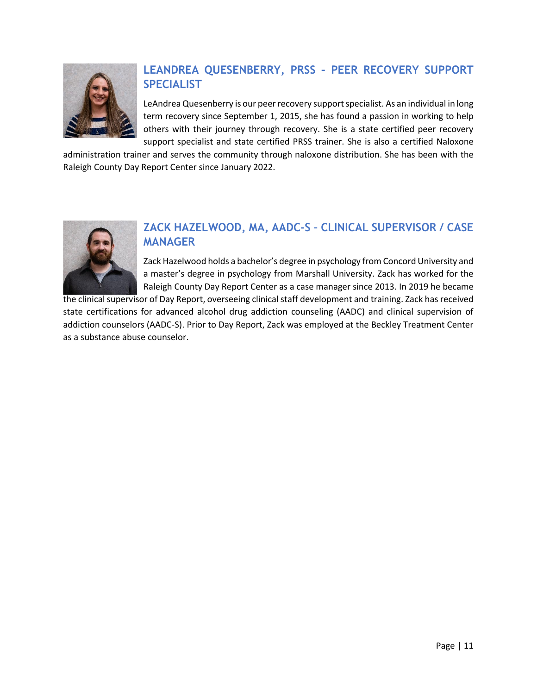

# **LEANDREA QUESENBERRY, PRSS – PEER RECOVERY SUPPORT SPECIALIST**

LeAndrea Quesenberry is our peer recovery support specialist. As an individual in long term recovery since September 1, 2015, she has found a passion in working to help others with their journey through recovery. She is a state certified peer recovery support specialist and state certified PRSS trainer. She is also a certified Naloxone

administration trainer and serves the community through naloxone distribution. She has been with the Raleigh County Day Report Center since January 2022.



# **ZACK HAZELWOOD, MA, AADC-S – CLINICAL SUPERVISOR / CASE MANAGER**

Zack Hazelwood holds a bachelor's degree in psychology from Concord University and a master's degree in psychology from Marshall University. Zack has worked for the Raleigh County Day Report Center as a case manager since 2013. In 2019 he became

the clinical supervisor of Day Report, overseeing clinical staff development and training. Zack has received state certifications for advanced alcohol drug addiction counseling (AADC) and clinical supervision of addiction counselors (AADC-S). Prior to Day Report, Zack was employed at the Beckley Treatment Center as a substance abuse counselor.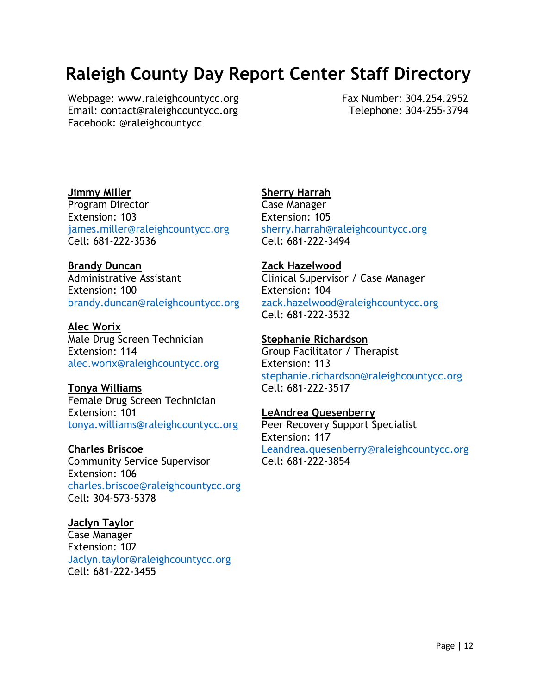# **Raleigh County Day Report Center Staff Directory**

Webpage: [www.raleighcountycc.org](http://www.raleighcountycc.org/) Email: contact@raleighcountycc.org Facebook: @raleighcountycc

Fax Number: 304.254.2952 Telephone: 304-255-3794

#### **Jimmy Miller** Program Director Extension: 103 [james.miller@raleighcountycc.org](mailto:james.miller@raleighcountycc.org) Cell: 681-222-3536

## **Brandy Duncan** Administrative Assistant Extension: 100 [brandy.duncan@raleighcountycc.org](mailto:brandy.duncan@raleighcountycc.org)

**Alec Worix** Male Drug Screen Technician Extension: 114 [alec.worix@raleighcountycc.org](mailto:alec.worix@raleighcountycc.org)

## **Tonya Williams** Female Drug Screen Technician Extension: 101 [tonya.williams@raleighcountycc.org](mailto:tonya.williams@raleighcountycc.org)

**Charles Briscoe** Community Service Supervisor Extension: 106 [charles.briscoe@raleighcountycc.org](mailto:charles.briscoe@raleighcountycc.org) Cell: 304-573-5378

# **Jaclyn Taylor**

Case Manager Extension: 102 [Jaclyn.taylor@raleighcountycc.org](mailto:Jaclyn.taylor@raleighcountycc.org) Cell: 681-222-3455

# **Sherry Harrah**

Case Manager Extension: 105 [sherry.harrah@raleighcountycc.org](mailto:sherry.harrah@raleighcountycc.org) Cell: 681-222-3494

## **Zack Hazelwood**

Clinical Supervisor / Case Manager Extension: 104 [zack.hazelwood@raleighcountycc.org](mailto:zack.hazelwood@raleighcountycc.org) Cell: 681-222-3532

## **Stephanie Richardson**

Group Facilitator / Therapist Extension: 113 [stephanie.richardson@raleighcountycc.org](mailto:stephanie.richardson@raleighcountycc.org) Cell: 681-222-3517

## **LeAndrea Quesenberry**

Peer Recovery Support Specialist Extension: 117 [Leandrea.quesenberry@raleighcountycc.org](mailto:Leandrea.quesenberry@raleighcountycc.org) Cell: 681-222-3854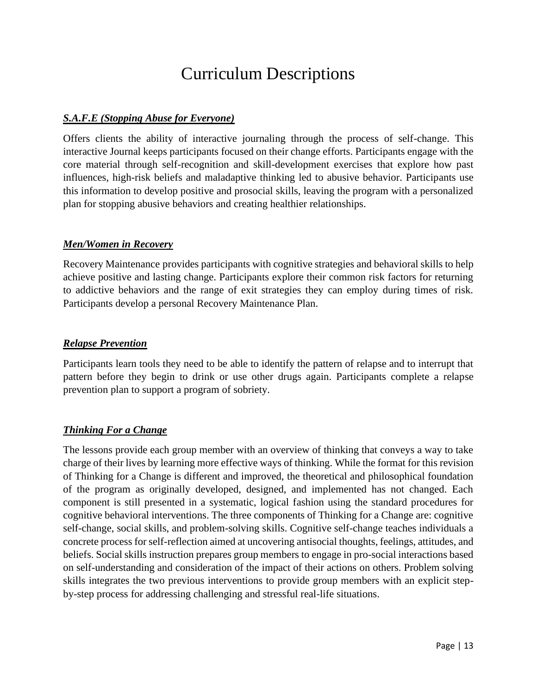# Curriculum Descriptions

## *S.A.F.E (Stopping Abuse for Everyone)*

Offers clients the ability of interactive journaling through the process of self-change. This interactive Journal keeps participants focused on their change efforts. Participants engage with the core material through self-recognition and skill-development exercises that explore how past influences, high-risk beliefs and maladaptive thinking led to abusive behavior. Participants use this information to develop positive and prosocial skills, leaving the program with a personalized plan for stopping abusive behaviors and creating healthier relationships.

#### *Men/Women in Recovery*

Recovery Maintenance provides participants with cognitive strategies and behavioral skills to help achieve positive and lasting change. Participants explore their common risk factors for returning to addictive behaviors and the range of exit strategies they can employ during times of risk. Participants develop a personal Recovery Maintenance Plan.

#### *Relapse Prevention*

Participants learn tools they need to be able to identify the pattern of relapse and to interrupt that pattern before they begin to drink or use other drugs again. Participants complete a relapse prevention plan to support a program of sobriety.

## *Thinking For a Change*

The lessons provide each group member with an overview of thinking that conveys a way to take charge of their lives by learning more effective ways of thinking. While the format for this revision of Thinking for a Change is different and improved, the theoretical and philosophical foundation of the program as originally developed, designed, and implemented has not changed. Each component is still presented in a systematic, logical fashion using the standard procedures for cognitive behavioral interventions. The three components of Thinking for a Change are: cognitive self-change, social skills, and problem-solving skills. Cognitive self-change teaches individuals a concrete process for self-reflection aimed at uncovering antisocial thoughts, feelings, attitudes, and beliefs. Social skills instruction prepares group members to engage in pro-social interactions based on self-understanding and consideration of the impact of their actions on others. Problem solving skills integrates the two previous interventions to provide group members with an explicit stepby-step process for addressing challenging and stressful real-life situations.